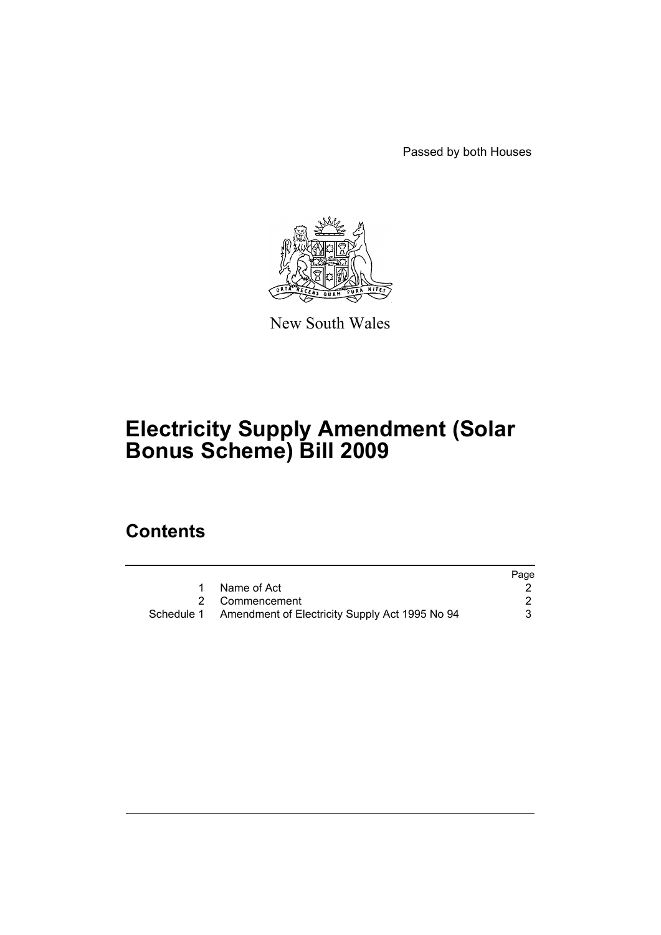Passed by both Houses



New South Wales

# **Electricity Supply Amendment (Solar Bonus Scheme) Bill 2009**

## **Contents**

|                                                           | Page |
|-----------------------------------------------------------|------|
| Name of Act                                               |      |
| 2 Commencement                                            |      |
| Schedule 1 Amendment of Electricity Supply Act 1995 No 94 |      |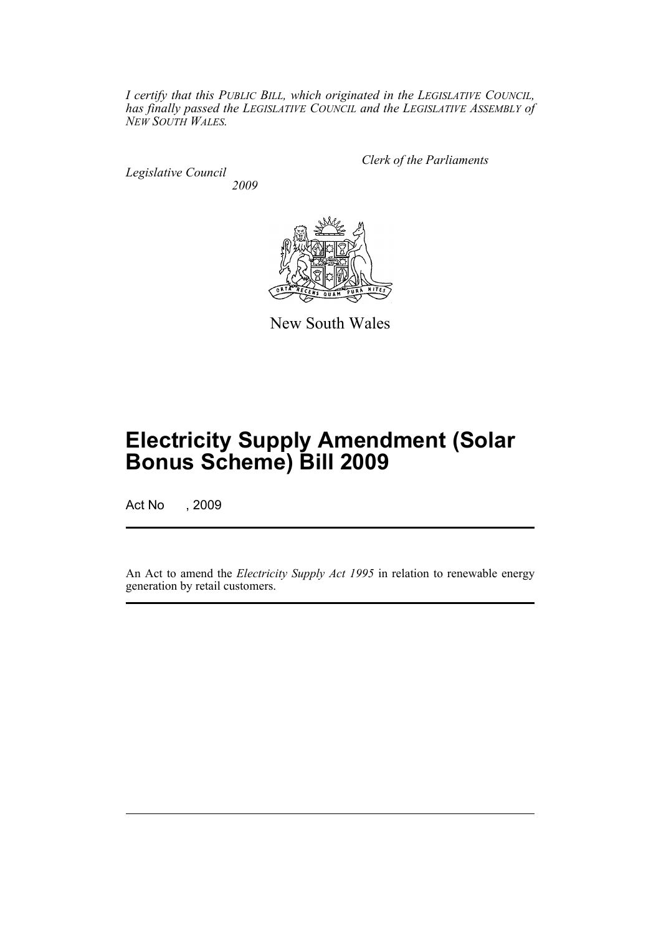*I certify that this PUBLIC BILL, which originated in the LEGISLATIVE COUNCIL, has finally passed the LEGISLATIVE COUNCIL and the LEGISLATIVE ASSEMBLY of NEW SOUTH WALES.*

*Legislative Council 2009* *Clerk of the Parliaments*



New South Wales

# **Electricity Supply Amendment (Solar Bonus Scheme) Bill 2009**

Act No , 2009

An Act to amend the *Electricity Supply Act 1995* in relation to renewable energy generation by retail customers.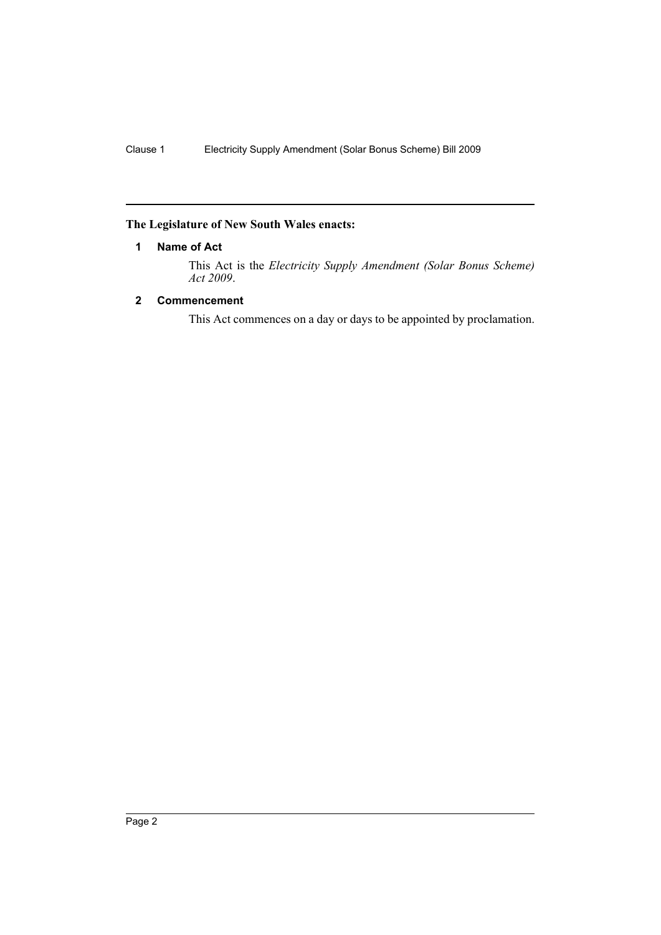### <span id="page-2-0"></span>**The Legislature of New South Wales enacts:**

#### **1 Name of Act**

This Act is the *Electricity Supply Amendment (Solar Bonus Scheme) Act 2009*.

#### <span id="page-2-1"></span>**2 Commencement**

This Act commences on a day or days to be appointed by proclamation.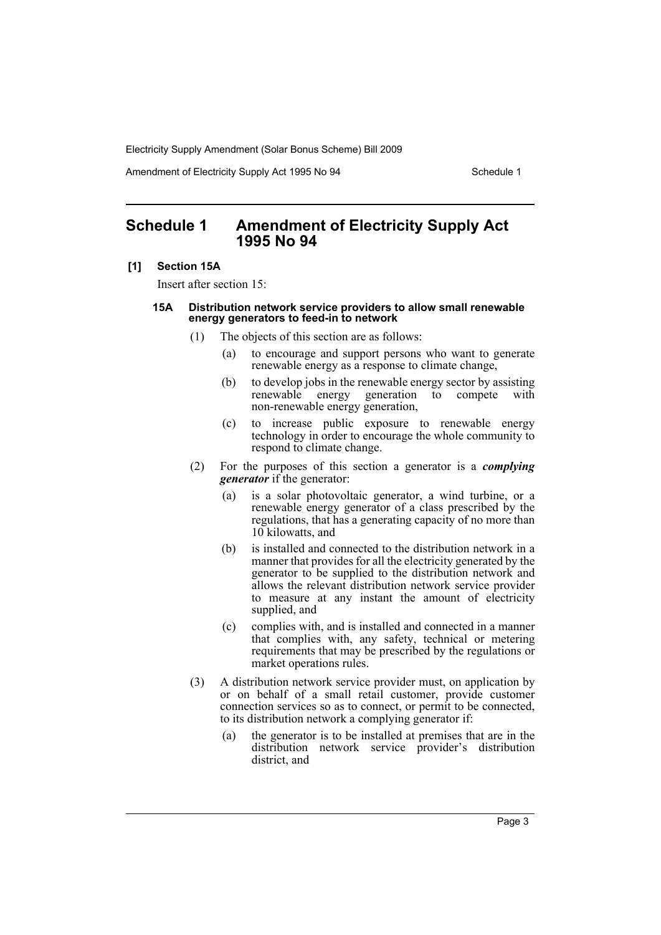Amendment of Electricity Supply Act 1995 No 94 Schedule 1

### <span id="page-3-0"></span>**Schedule 1 Amendment of Electricity Supply Act 1995 No 94**

#### **[1] Section 15A**

Insert after section 15:

#### **15A Distribution network service providers to allow small renewable energy generators to feed-in to network**

- (1) The objects of this section are as follows:
	- (a) to encourage and support persons who want to generate renewable energy as a response to climate change,
	- (b) to develop jobs in the renewable energy sector by assisting renewable energy generation to compete with non-renewable energy generation,
	- (c) to increase public exposure to renewable energy technology in order to encourage the whole community to respond to climate change.
- (2) For the purposes of this section a generator is a *complying generator* if the generator:
	- (a) is a solar photovoltaic generator, a wind turbine, or a renewable energy generator of a class prescribed by the regulations, that has a generating capacity of no more than 10 kilowatts, and
	- (b) is installed and connected to the distribution network in a manner that provides for all the electricity generated by the generator to be supplied to the distribution network and allows the relevant distribution network service provider to measure at any instant the amount of electricity supplied, and
	- (c) complies with, and is installed and connected in a manner that complies with, any safety, technical or metering requirements that may be prescribed by the regulations or market operations rules.
- (3) A distribution network service provider must, on application by or on behalf of a small retail customer, provide customer connection services so as to connect, or permit to be connected, to its distribution network a complying generator if:
	- (a) the generator is to be installed at premises that are in the distribution network service provider's distribution district, and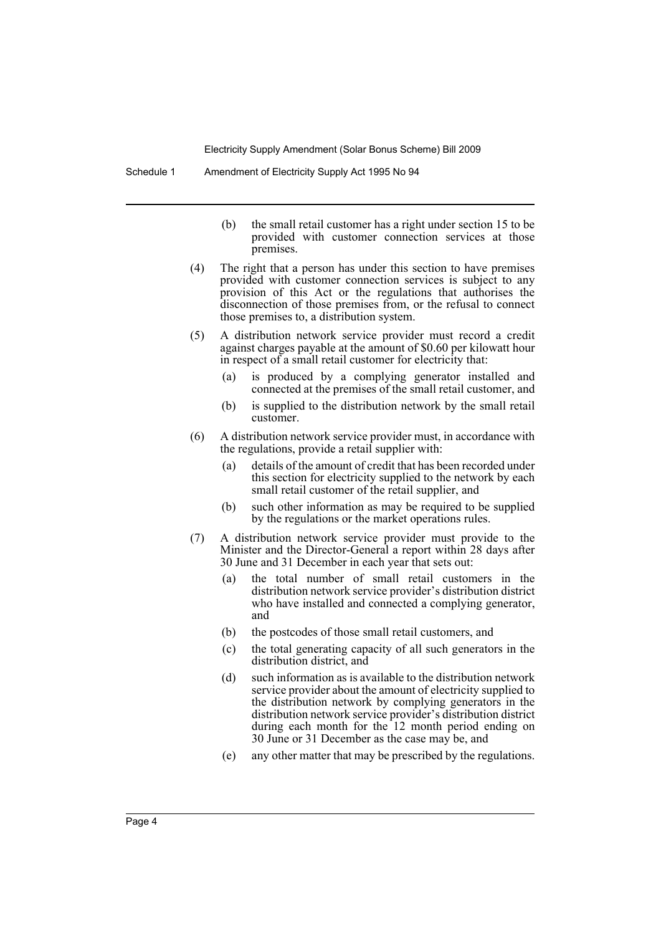- (b) the small retail customer has a right under section 15 to be provided with customer connection services at those premises.
- (4) The right that a person has under this section to have premises provided with customer connection services is subject to any provision of this Act or the regulations that authorises the disconnection of those premises from, or the refusal to connect those premises to, a distribution system.
- (5) A distribution network service provider must record a credit against charges payable at the amount of \$0.60 per kilowatt hour in respect of a small retail customer for electricity that:
	- (a) is produced by a complying generator installed and connected at the premises of the small retail customer, and
	- (b) is supplied to the distribution network by the small retail customer.
- (6) A distribution network service provider must, in accordance with the regulations, provide a retail supplier with:
	- (a) details of the amount of credit that has been recorded under this section for electricity supplied to the network by each small retail customer of the retail supplier, and
	- (b) such other information as may be required to be supplied by the regulations or the market operations rules.
- (7) A distribution network service provider must provide to the Minister and the Director-General a report within 28 days after 30 June and 31 December in each year that sets out:
	- (a) the total number of small retail customers in the distribution network service provider's distribution district who have installed and connected a complying generator, and
	- (b) the postcodes of those small retail customers, and
	- (c) the total generating capacity of all such generators in the distribution district, and
	- (d) such information as is available to the distribution network service provider about the amount of electricity supplied to the distribution network by complying generators in the distribution network service provider's distribution district during each month for the 12 month period ending on 30 June or 31 December as the case may be, and
	- (e) any other matter that may be prescribed by the regulations.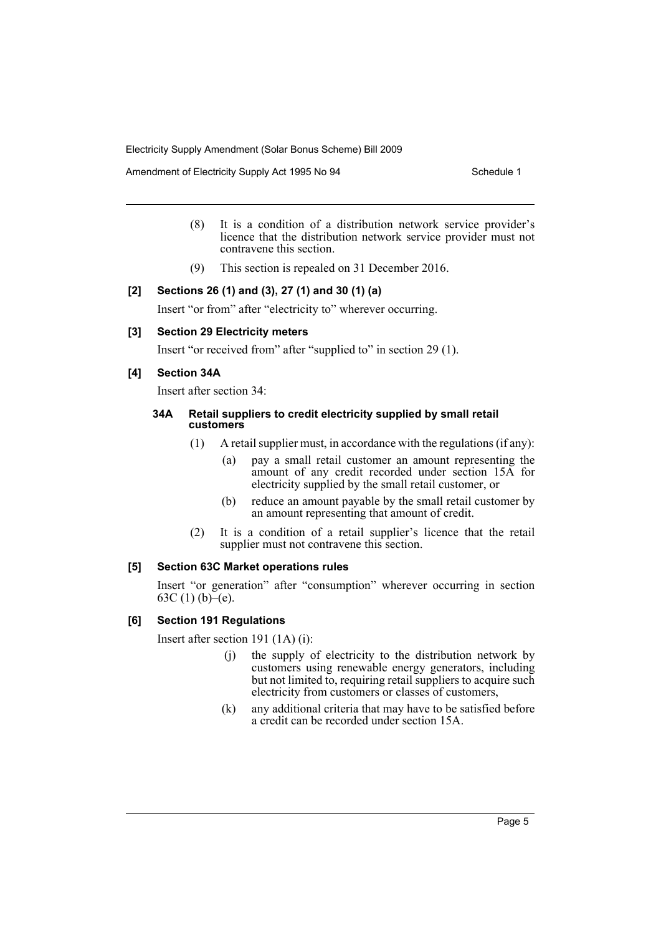Amendment of Electricity Supply Act 1995 No 94 Schedule 1

- (8) It is a condition of a distribution network service provider's licence that the distribution network service provider must not contravene this section.
- (9) This section is repealed on 31 December 2016.

#### **[2] Sections 26 (1) and (3), 27 (1) and 30 (1) (a)**

Insert "or from" after "electricity to" wherever occurring.

#### **[3] Section 29 Electricity meters**

Insert "or received from" after "supplied to" in section 29 (1).

#### **[4] Section 34A**

Insert after section 34:

#### **34A Retail suppliers to credit electricity supplied by small retail customers**

- (1) A retail supplier must, in accordance with the regulations (if any):
	- (a) pay a small retail customer an amount representing the amount of any credit recorded under section 15A for electricity supplied by the small retail customer, or
	- (b) reduce an amount payable by the small retail customer by an amount representing that amount of credit.
- (2) It is a condition of a retail supplier's licence that the retail supplier must not contravene this section.

#### **[5] Section 63C Market operations rules**

Insert "or generation" after "consumption" wherever occurring in section 63C (1) (b)–(e).

#### **[6] Section 191 Regulations**

Insert after section 191 (1A) (i):

- (j) the supply of electricity to the distribution network by customers using renewable energy generators, including but not limited to, requiring retail suppliers to acquire such electricity from customers or classes of customers,
- (k) any additional criteria that may have to be satisfied before a credit can be recorded under section 15A.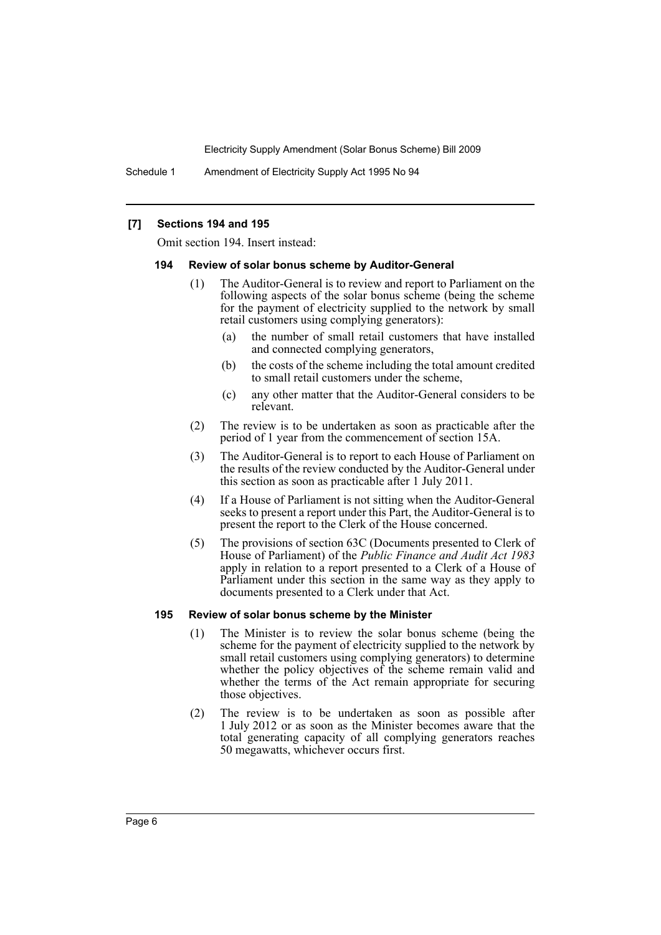Schedule 1 Amendment of Electricity Supply Act 1995 No 94

#### **[7] Sections 194 and 195**

Omit section 194. Insert instead:

#### **194 Review of solar bonus scheme by Auditor-General**

- (1) The Auditor-General is to review and report to Parliament on the following aspects of the solar bonus scheme (being the scheme for the payment of electricity supplied to the network by small retail customers using complying generators):
	- (a) the number of small retail customers that have installed and connected complying generators,
	- (b) the costs of the scheme including the total amount credited to small retail customers under the scheme,
	- (c) any other matter that the Auditor-General considers to be relevant.
- (2) The review is to be undertaken as soon as practicable after the period of 1 year from the commencement of section 15A.
- (3) The Auditor-General is to report to each House of Parliament on the results of the review conducted by the Auditor-General under this section as soon as practicable after 1 July 2011.
- (4) If a House of Parliament is not sitting when the Auditor-General seeks to present a report under this Part, the Auditor-General is to present the report to the Clerk of the House concerned.
- (5) The provisions of section 63C (Documents presented to Clerk of House of Parliament) of the *Public Finance and Audit Act 1983* apply in relation to a report presented to a Clerk of a House of Parliament under this section in the same way as they apply to documents presented to a Clerk under that Act.

#### **195 Review of solar bonus scheme by the Minister**

- (1) The Minister is to review the solar bonus scheme (being the scheme for the payment of electricity supplied to the network by small retail customers using complying generators) to determine whether the policy objectives of the scheme remain valid and whether the terms of the Act remain appropriate for securing those objectives.
- (2) The review is to be undertaken as soon as possible after 1 July 2012 or as soon as the Minister becomes aware that the total generating capacity of all complying generators reaches 50 megawatts, whichever occurs first.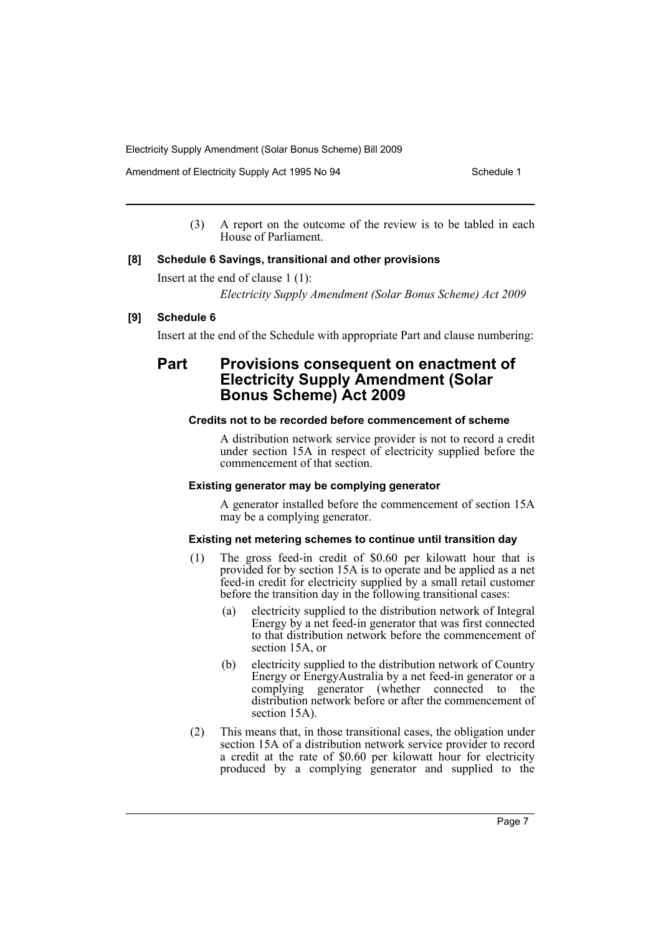Amendment of Electricity Supply Act 1995 No 94 Schedule 1

(3) A report on the outcome of the review is to be tabled in each House of Parliament.

#### **[8] Schedule 6 Savings, transitional and other provisions**

Insert at the end of clause 1 (1):

*Electricity Supply Amendment (Solar Bonus Scheme) Act 2009*

#### **[9] Schedule 6**

Insert at the end of the Schedule with appropriate Part and clause numbering:

## **Part Provisions consequent on enactment of Electricity Supply Amendment (Solar Bonus Scheme) Act 2009**

#### **Credits not to be recorded before commencement of scheme**

A distribution network service provider is not to record a credit under section 15A in respect of electricity supplied before the commencement of that section.

#### **Existing generator may be complying generator**

A generator installed before the commencement of section 15A may be a complying generator.

#### **Existing net metering schemes to continue until transition day**

- (1) The gross feed-in credit of \$0.60 per kilowatt hour that is provided for by section 15A is to operate and be applied as a net feed-in credit for electricity supplied by a small retail customer before the transition day in the following transitional cases:
	- (a) electricity supplied to the distribution network of Integral Energy by a net feed-in generator that was first connected to that distribution network before the commencement of section 15A, or
	- (b) electricity supplied to the distribution network of Country Energy or EnergyAustralia by a net feed-in generator or a complying generator (whether connected to the distribution network before or after the commencement of section 15A).
- (2) This means that, in those transitional cases, the obligation under section 15A of a distribution network service provider to record a credit at the rate of \$0.60 per kilowatt hour for electricity produced by a complying generator and supplied to the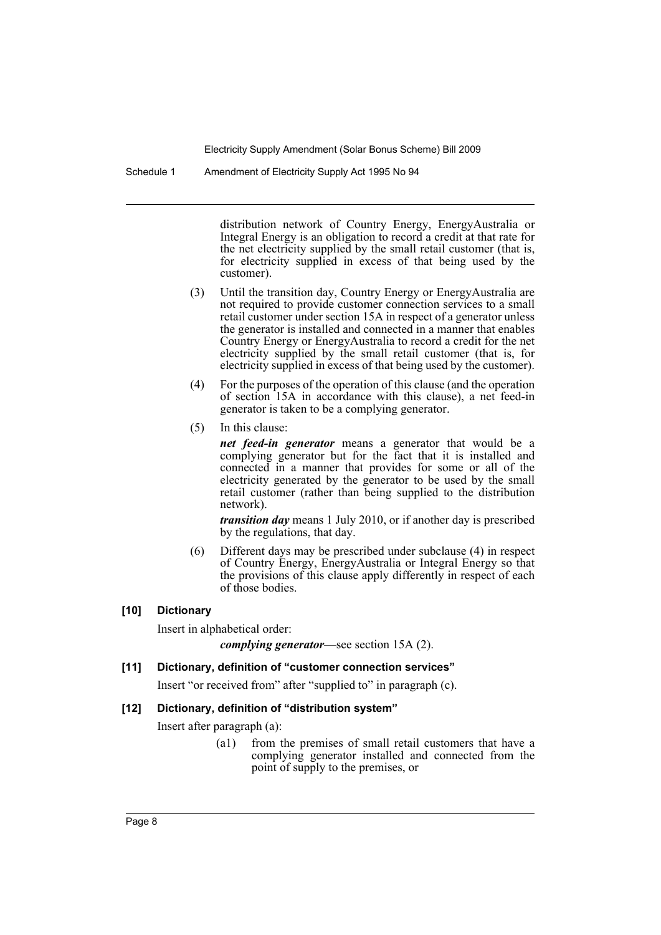Schedule 1 Amendment of Electricity Supply Act 1995 No 94

distribution network of Country Energy, EnergyAustralia or Integral Energy is an obligation to record a credit at that rate for the net electricity supplied by the small retail customer (that is, for electricity supplied in excess of that being used by the customer).

- (3) Until the transition day, Country Energy or EnergyAustralia are not required to provide customer connection services to a small retail customer under section 15A in respect of a generator unless the generator is installed and connected in a manner that enables Country Energy or EnergyAustralia to record a credit for the net electricity supplied by the small retail customer (that is, for electricity supplied in excess of that being used by the customer).
- (4) For the purposes of the operation of this clause (and the operation of section 15A in accordance with this clause), a net feed-in generator is taken to be a complying generator.
- (5) In this clause:

*net feed-in generator* means a generator that would be a complying generator but for the fact that it is installed and connected in a manner that provides for some or all of the electricity generated by the generator to be used by the small retail customer (rather than being supplied to the distribution network).

*transition day* means 1 July 2010, or if another day is prescribed by the regulations, that day.

(6) Different days may be prescribed under subclause (4) in respect of Country Energy, EnergyAustralia or Integral Energy so that the provisions of this clause apply differently in respect of each of those bodies.

#### **[10] Dictionary**

Insert in alphabetical order:

*complying generator*—see section 15A (2).

#### **[11] Dictionary, definition of "customer connection services"**

Insert "or received from" after "supplied to" in paragraph (c).

#### **[12] Dictionary, definition of "distribution system"**

Insert after paragraph (a):

(a1) from the premises of small retail customers that have a complying generator installed and connected from the point of supply to the premises, or